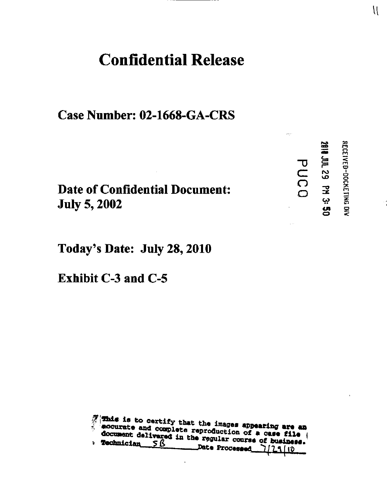#### **Confidential Release**

Case Number: 02-1668-GA-CRS

**Date of Confidential Document: July 5, 2002** 

Today's Date: July 28, 2010

**Exhibit C-3 and C-5** 

This is to certify that the images appearing are an accurate and complete reproduction of a case file document delivered in the regular course of business. **Technician**  $\leq \beta$ Date Processed 7129110

**2010 JDL 29 PM 3:50** 

PUCO

RECEIVED-DOCKETING DIV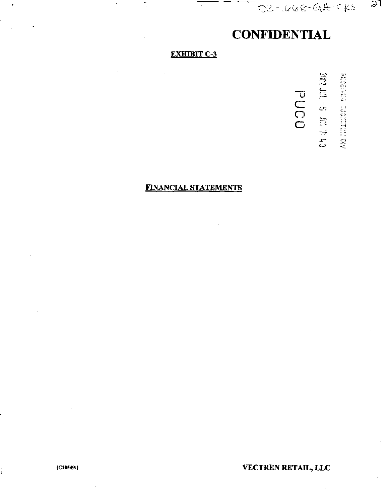**CONFIDENTIAL** 

02-1668-GIL-CRS

 $21$ 

#### **EXHIBIT C-3**

DONd de Tur aux **REGISTED REGISTERED DR** 

#### **FINANCIAL STATEMENTS**

VECTREN RETAIL, LLC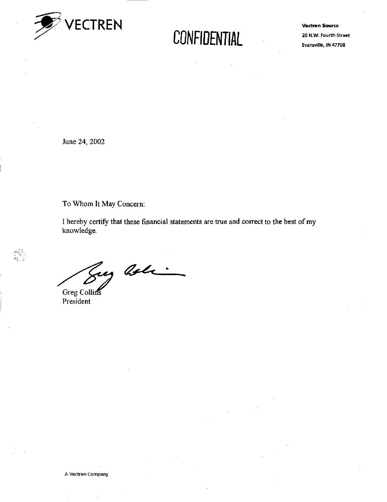

Vectren Source 20 N.W. Fourth Street Evansville, IN 47708

June 24, 2002

To Whom It May Concern:

I hereby certify that these financial statements are true and correct to the best of my knowledge.

Eng arlie

Greg Collins President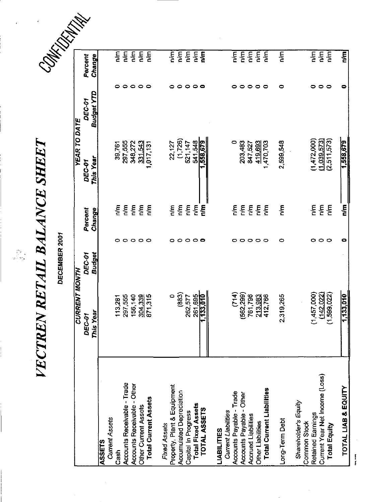VECTREN RETAIL BALANCE SHEET 

 $\begin{array}{c} \n\cdot & \cdot \\
\cdot & \cdot \\
\cdot & \cdot\n\end{array}$ 

|                                                 |                            | DECEMBER 2001                  |                                            |                            |                      |                                                    |
|-------------------------------------------------|----------------------------|--------------------------------|--------------------------------------------|----------------------------|----------------------|----------------------------------------------------|
|                                                 | <b>CURRENT MONTH</b>       |                                |                                            | <b>YEAR TO DATE</b>        |                      |                                                    |
|                                                 | This Year<br><b>DEC-01</b> | <b>Budget</b><br><b>DEC-01</b> | Percent<br>Change                          | This Year<br><b>DEC-01</b> | Budget YTD<br>DEC-01 | Percent<br>Change                                  |
| <b>ASSETS</b>                                   |                            |                                |                                            |                            |                      |                                                    |
| <b>Current Assets</b>                           |                            |                                |                                            |                            |                      |                                                    |
| Cash                                            | 113,281                    |                                | $\sum_{n=1}^{\infty}$<br>o                 | 39,761                     | ٥                    | ξ                                                  |
| <b>Accounts Receivable - Trade</b>              | 297 555                    |                                | ξ<br>$\circ$                               | 297,555                    | $\circ$              | ηm                                                 |
| <b>Accounts Receivable - Other</b>              | 156,140                    |                                | $\frac{1}{2}$                              | 348,272                    |                      | $\sum_{i=1}^{n}$                                   |
| <b>Other Current Assets</b>                     | 304,339                    |                                | n/m<br>$\circ \circ \circ$                 | 331,543                    | $\circ \circ \circ$  | $\frac{1}{2}$                                      |
| <b>Total Current Assets</b>                     | 871,315                    |                                | n/m                                        | 1,017,131                  |                      | <b>PyE</b>                                         |
| Fixed Assets                                    |                            |                                |                                            |                            |                      |                                                    |
| Property, Plant & Equipment                     | $\circ$                    |                                | m/m<br>o                                   | 22,127                     | 0                    | $\sum_{n=1}^{\infty}$                              |
| <b>Accumulated Depreciation</b>                 | (883)                      |                                | n/m                                        | (1,726)                    | 0                    | $\overline{\mathbf{h}}$                            |
| Capital In Progress                             | 262,577                    |                                | $\frac{1}{2}$<br>$\circ \circ \circ \circ$ | 521,147                    | $\circ$              | $\sum_{n=1}^{\infty}$                              |
| <b>Total Fixed Assets</b>                       |                            |                                | n/m                                        | 541,548                    |                      | n/m                                                |
| TOTAL ASSETS                                    | 261,695<br>1,133,010       |                                | <b>E</b>                                   | 558,679                    | $\circ$ $\circ$      | n/m                                                |
|                                                 |                            |                                |                                            |                            |                      |                                                    |
| <b>IABILITIES</b>                               |                            |                                |                                            |                            |                      |                                                    |
| Accounts Payable - Trade<br>Current Liabilities | (714)                      |                                | $\frac{5}{2}$<br>0                         | $\circ$                    | $\bullet$            | $\overline{\mathsf{m}}$                            |
| <b>Accounts Payable - Other</b>                 | (562, 299)                 |                                | m<br>$\bullet$                             | 203,483                    | $\bullet$            | $\frac{1}{2}$                                      |
| <b>Accrued Liabilities</b>                      | 761,796                    |                                | 통                                          | 847,527                    |                      | n/m                                                |
| Other Liabilities                               | 213,983                    |                                | 통<br>$\circ \circ \circ$                   | 419,693                    | $\circ \circ \circ$  | n/m                                                |
| <b>Total Current Liabilities</b>                | 412,766                    |                                | $\sum_{n=1}^{\infty}$                      | ,470,703                   |                      | $\overline{\mathbf{m}}$                            |
| ong-Term Debt                                   | 2319,265                   |                                | 통<br>0                                     | 2,599,548                  | 0                    | n/m                                                |
| Shareholder's Equity                            |                            |                                |                                            |                            |                      |                                                    |
| <b>Common Stock</b>                             |                            |                                |                                            |                            |                      |                                                    |
| Retained Earnings                               | (1,457,000)                |                                | $\sum_{n=1}^{\infty}$                      | (1,472,000)                | 0                    | $\frac{1}{2}$                                      |
| Current Year Net Income (Loss)<br>Total Equity  | (1,599,022)<br>(142.022)   |                                | $\frac{1}{2}$<br>$\frac{1}{2}$<br>000      | (2,511,573)<br>(1,039,573) | $\circ$ $\circ$      | $\overline{\mathsf{m}}$<br>$\overline{\mathbf{e}}$ |
|                                                 |                            |                                |                                            |                            |                      |                                                    |
| TOTAL LIAB & EQUITY                             | 1,133,010                  |                                | $\frac{1}{10}$<br>۰                        | 1,558,679                  | 0                    | n/m                                                |

Player America

 $\hat{\mathcal{A}}$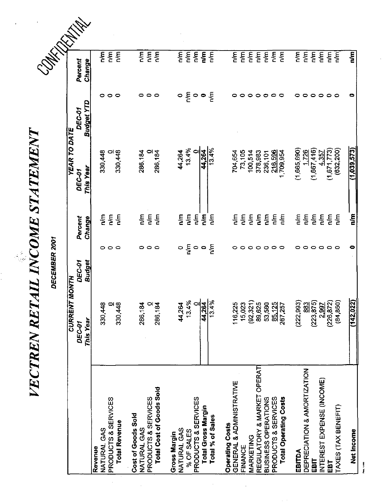VECTREN RETAIL INCOME STATEMENT

|                                    | VECTREN RETAIL INCOME STATEMENT |                         |                                        |                            |                             |                       |  |
|------------------------------------|---------------------------------|-------------------------|----------------------------------------|----------------------------|-----------------------------|-----------------------|--|
|                                    |                                 | DECEMBER 2001           |                                        |                            |                             |                       |  |
|                                    | <b>CURRENT MON</b>              | E                       |                                        | <b>YEAR TO DATE</b>        |                             |                       |  |
|                                    | This Year<br><b>DEC-01</b>      | Budget<br><b>DEC-01</b> | Percent<br>Change                      | This Year<br><b>DEC-01</b> | Budget YTD<br><b>DEC-01</b> | Percent<br>Change     |  |
| Revenue                            |                                 |                         |                                        | 330,448                    | 0                           | $\sum_{i=1}^{n}$      |  |
| PRODUCTS & SERVICES<br>NATURAL GAS | 330,448                         | 000                     | $\sum_{n=1}^{\infty}$<br>$\frac{5}{6}$ |                            |                             | n/m                   |  |
| <b>Total Revenue</b>               | 330,448                         |                         | $\frac{1}{2}$                          | $\frac{8}{0}$<br>330,448   | $\circ$ $\circ$             | $\sum_{n=1}^{\infty}$ |  |
| Cost of Goods Sold                 |                                 |                         |                                        |                            |                             |                       |  |
| NATURAL GAS                        | 286,184                         | 0.                      | n/m                                    | 286,184                    | 0                           | $\frac{5}{2}$         |  |
| PRODUCTS & SERVICES                |                                 | $\circ$ $\circ$         | n/m                                    |                            | 0                           | n/m                   |  |
| Total Cost of Goods Sold           | 286,184                         |                         | n/m                                    | $\frac{0}{286,184}$        | ∘                           | $\frac{m}{n}$         |  |
| Gross Margin                       |                                 |                         |                                        |                            |                             |                       |  |
| NATURAL GAS                        | 44,264                          |                         | $\mathsf{m}$                           | 44,264                     | $\circ \xi$                 | $\frac{1}{2}$         |  |
| % OF SALES                         | 13.4%                           | ၀ ဠ ၀ ၀                 | n/m                                    | 13.4%                      |                             | n/m                   |  |
| PRODUCTS & SERVICES                | $\circ$                         |                         | $\frac{1}{2}$                          | $\bullet$                  | $\circ$                     | $\frac{m}{n}$         |  |
| Total Gross Margin                 | 44,264                          |                         | n/m                                    | 44,264                     | $\bullet$                   | $\frac{1}{6}$         |  |
| Total % of Sales                   | 13.4%                           | $\sum_{n=1}^{\infty}$   | n/m                                    |                            | $\sum_{i=1}^{n}$            | $\sum_{i=1}^{n}$      |  |
| <b>Operating Costs</b>             |                                 |                         |                                        |                            |                             |                       |  |
| GENERAL & ADMINISTRATIVE           | 116,225                         | 0                       | n/m                                    | 704,654                    |                             | n/m                   |  |
| FINANCE                            | 15,023                          | 0                       | n/m                                    | 73,105                     |                             | n/m                   |  |
| MARKETING                          | (92, 321)                       | $\circ$                 | n/m                                    | 100,514                    | ∘                           | m                     |  |
| REGULATORY & MARKET OPERAT         | 89,625                          |                         | $\frac{1}{2}$                          | 378,983                    | 0                           | him                   |  |
| BUSINESS OPERATIONS                | 53,580                          | $\circ$                 | $\epsilon$                             | 236,101                    | ਼                           | $\epsilon$            |  |
| PRODUCTS & SERVICES                | 85.125                          | $\circ$ $\circ$         | n/m                                    | 216,596<br>709,954         | $\bullet$                   | $\frac{1}{2}$         |  |
| <b>Total Operating Costs</b>       | 267,257                         |                         | $\frac{1}{2}$                          |                            | $\circ$                     | $\frac{m}{n}$         |  |
| EBITDA                             | (222, 993)                      | 0                       | $\frac{5}{2}$                          | (1,665,690)                |                             | $\sum_{n=1}^{\infty}$ |  |
| DEPRECIATION & AMORTIZATION        | 883                             | ∊                       | η/π                                    | 1.726                      | 0                           | n/m                   |  |
| EBIT                               | (223, 875)                      | $\bullet$               | $\sum_{n=1}^{\infty}$                  | (1,667,416)                | $\bullet$                   | ΓŃΠ                   |  |
| INTEREST EXPENSE (INCOME)          |                                 | $\circ \circ \circ$     | n/m                                    | 4.357                      | ∘                           | $\sum_{i=1}^{n}$      |  |
| EBT                                | $\frac{2.997}{226,872}$         |                         | n/m                                    | (1,671,773)                | $\circ$                     | ξ                     |  |
| TAXES (TAX BENEFIT)                | (84, 850)                       |                         | $\sum_{i=1}^{n}$                       | (632, 200)                 |                             | $\frac{1}{2}$         |  |
| Net Income                         | (142, 022)                      | 0                       | e<br>Tu                                | (1,039,573)                |                             | $\mathbf{r}$          |  |

|<br>|<br>|<br>|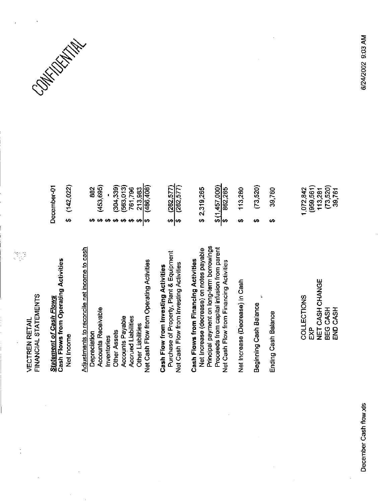FINANCIAL STATEMENTS **VECTREN RETAIL** 

## Cash Flows from Operating Activities **Statement of Cash Flows**

December-01

 $$(142,022)$ 

Net Income

| Adjustments to reconcile net income to cash<br>Depreciation |
|-------------------------------------------------------------|
|-------------------------------------------------------------|

# ပိ

Net Cash Flow from Investing Activities

 $\frac{262.577}{262.577}$ 

 $\frac{213,983}{(486,408)}$ 

 $(304, 339)$ <br> $(563, 013)$ <br> $761, 796$ 

<mark>๛๛๛๛๛๛</mark>

 $(453, 695)$ 882

 $\mathbf{r}$ 

## Principal payment on long-term borrowings Net Increase (decrease) on notes payable Proceeds from capital infusion from parent Cash Flows from Financing Activities Net Cash Flow from Financing Activities

 $\frac{$(1,457,000)}{882,265}$ 

\$2,319,265

Net Increase (Decrease) in Cash

Beginning Cash Balance

Ending Cash Balance

NET CASH CHANGE COLLECTIONS BEG CASH<br>END CASH EXP

| 113,280 | (73,520) | 39,760 | $(959,561)$<br>113,281<br>(73,520)<br>39,761<br>072,842<br>÷ |
|---------|----------|--------|--------------------------------------------------------------|
|         |          |        |                                                              |

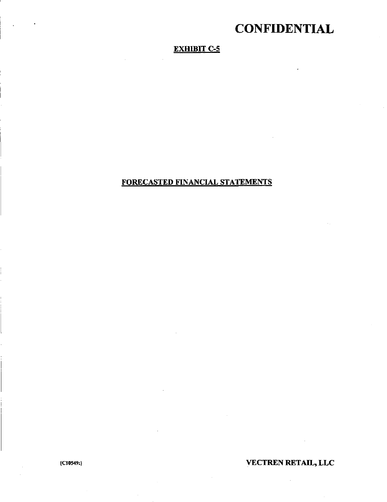#### EXHIBIT C-5

#### FORECASTED FINANCIAL STATEMENTS

#### IC10549:} VECTREN RETAIL, LLC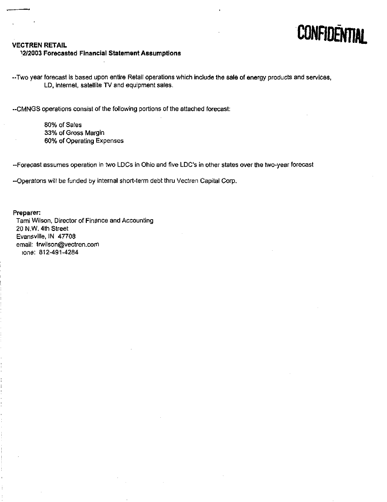

#### VECTREN RETAIL

#### ^2/2003 Forecasted Financial Statement Assumptions

•Two year forecast is based upon entire Retail operations which include the sale of energy products and services, LD, Internet, satellite TV and equipment sales.

-CMNGS operations consist of the following portions of the attached forecast:

80% of Sales 33% of Gross Margin 60% of Operating Expenses

--Forecast assumes operation in two LDCs in Ohio and five LDC's in other states over the two-year forecast

•Operatons will be funded by internal short-term debt thru Vectren Capilal Corp.

#### Preparer:

Tami Wilson, Director of Finance and Accounting 20 N.W. 4th Street Evansville. IN 47708 email; [trwllson@vectren.com](mailto:trwllson@vectren.com) lone: 812-491-4284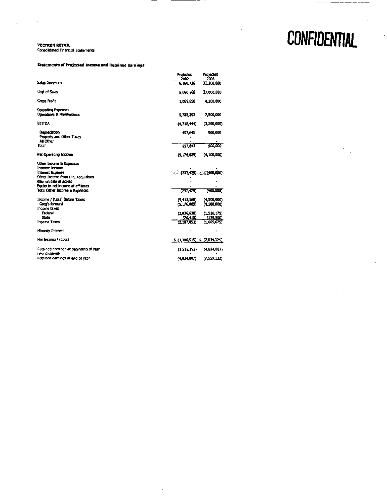#### **VECTREN RETAIL**<br>Consolidated Financial Statements

J.

#### **Statements of Projected Income and Retained Earnings**

|                                                                              | Projected<br>2002           | Projected<br>2003 |
|------------------------------------------------------------------------------|-----------------------------|-------------------|
| <b>Sales Revenues</b>                                                        | 9.160,726                   | 31,300,000        |
| Cost of Sales                                                                | 8,090,068                   | 27,000,000        |
| <b>Gross Profit</b>                                                          | 1,069,858                   | 4.300,000         |
| <b>Operating Expenses</b><br><b>Operations &amp; Maintenance</b>             | 5.788.302                   | 7,500,000         |
| <b>EBITDA</b>                                                                | (4.718.444)                 | (3,200,000)       |
| Depreciation<br>Property and Other Taxes<br>All Other                        | 457,645                     | 900,000           |
| Total                                                                        | 457,645                     | 900.000           |
| <b>Net Operating Income</b>                                                  | (5.176.089)                 | (4,100,000)       |
| Other Income & Expenses<br><b>Interest Income</b><br><b>Interest Expense</b> | $132, 479$ $35 (400,000)$   |                   |
| Other Income from DPL Acquisition<br>Gain on sale of assets                  |                             |                   |
| Equity in net income of affiliates                                           |                             |                   |
| Total Other Income & Expenses                                                | (237, 479)                  | (400,000)         |
| Income / (Loss) Before Taxes                                                 | (5.413,568)                 | (4,500,000)       |
| Greg's forecast                                                              | (5.176.089)                 | (4, 100, 000)     |
| Income taxes<br>Federal                                                      | (2.036,636)                 | (1.526, 175)      |
| State                                                                        | (70.415)                    | (139,500)         |
| <b>Income Taxes</b>                                                          | (2.107,053)                 | (1,665,675)       |
| <b>Minority Interest</b>                                                     |                             |                   |
| Net Income / (Loss)                                                          | $(3,306,515)$ $(2,834,325)$ |                   |
| Retained earnings at beginning of year<br>Less dividends                     | (1, 518, 292)               | (4,824,807)       |
| Retained earnings at end of year                                             | (4.824, 807)                | (7,659,132)       |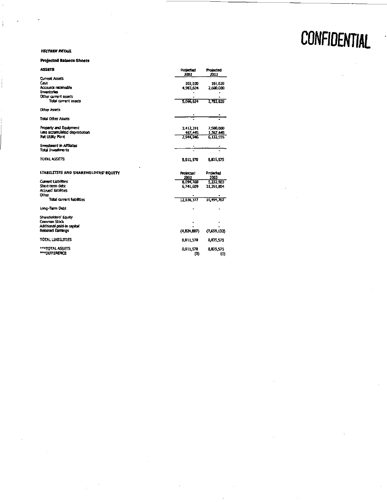**VECTREN RETAIL** 

#### **Projected Balance Sheets**

| <b>ASSETS</b>                        | Projected<br>2002 | Projected<br>2003 |
|--------------------------------------|-------------------|-------------------|
| <b>Current Assets</b>                |                   |                   |
| Cash                                 | 101,070           | 103.020           |
| Accounts receivable                  | 4,963,604         | 2,600,000         |
| Inventories                          |                   |                   |
| Other current assets                 |                   |                   |
| <b>Total current assets</b>          | 5.066.624         | 2,703.020         |
| <b>Other Assets</b>                  |                   |                   |
| <b>Total Other Assets</b>            |                   |                   |
| Property and Equipment               | 3,412,391         | 7,500,000         |
| Less accumulated depredation         | 467,445           | 1,367,445         |
| Net Utility Plant                    | 2.941.946         | 6,132,555         |
| Investment in Affiliates             |                   |                   |
| Total Investments                    |                   |                   |
| TOTAL ASSETS                         | 8,011,570         | 8,835,575         |
| LIABILITIES AND SHAREHOLDERS' EQUITY | Projected<br>2002 | Projected<br>2003 |
| <b>Current Liabilities</b>           | 6.094.768         | 5,232,903         |
| Short-term debt                      | 6,741,609         | 11, 251, 304      |
| <b>Accrued liabilities</b>           |                   |                   |
| Other                                |                   |                   |
| <b>Total current liabilities</b>     | 12.836.377        | 16, 494, 707      |
| Long-Term Debt                       |                   |                   |
| Shareholders' Equity                 |                   |                   |
| Common Stock                         |                   |                   |
| Additional paid-in capital           |                   |                   |
| Retained Earnings                    | (4, 824, 807)     | (7,659,132)       |
| <b>TOTAL LIABILITIES</b>             | 8,011,570         | 8,835,575         |
| ***TOTAL ASSETS                      | 8,011,570         | 8,835,575         |
| ***DIFFERENCE                        | (O)               | (0)               |